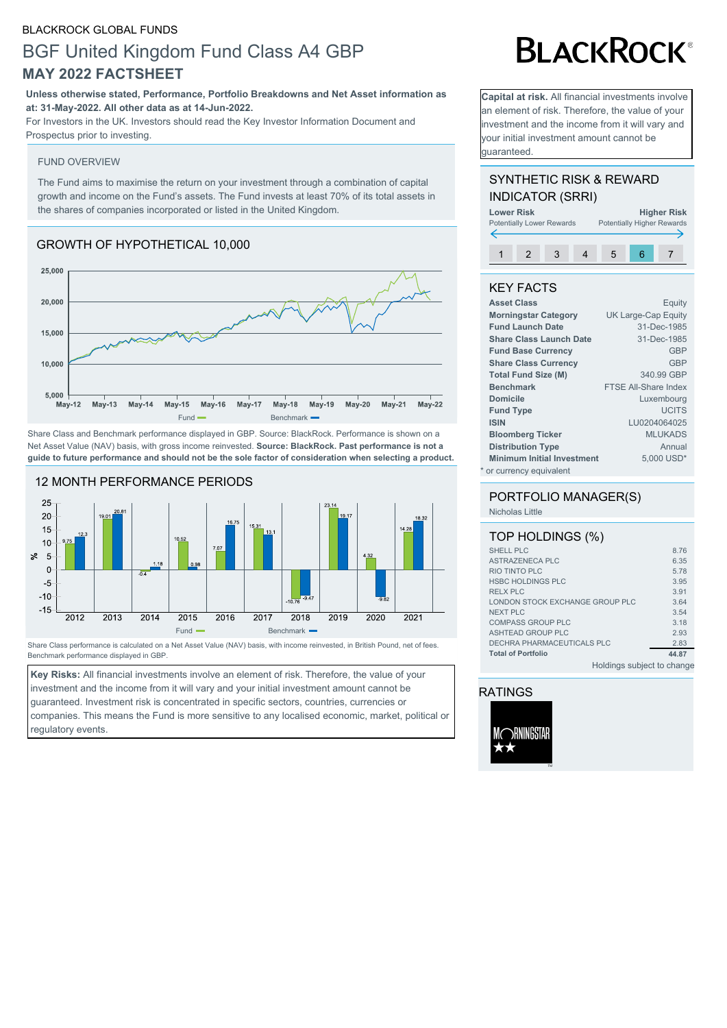#### BLACKROCK GLOBAL FUNDS

# BGF United Kingdom Fund Class A4 GBP **MAY 2022 FACTSHEET**

**Unless otherwise stated, Performance, Portfolio Breakdowns and Net Asset information as at: 31-May-2022. All other data as at 14-Jun-2022.**

For Investors in the UK. Investors should read the Key Investor Information Document and Prospectus prior to investing.

#### FUND OVERVIEW

The Fund aims to maximise the return on your investment through a combination of capital growth and income on the Fund's assets. The Fund invests at least 70% of its total assets in the shares of companies incorporated or listed in the United Kingdom.

## GROWTH OF HYPOTHETICAL 10,000



Share Class and Benchmark performance displayed in GBP. Source: BlackRock. Performance is shown on a Net Asset Value (NAV) basis, with gross income reinvested. **Source: BlackRock. Past performance is not a guide to future performance and should not be the sole factor of consideration when selecting a product.**



Share Class performance is calculated on a Net Asset Value (NAV) basis, with income reinvested, in British Pound, net of fees. Benchmark performance displayed in GBP.

**Key Risks:** All financial investments involve an element of risk. Therefore, the value of your investment and the income from it will vary and your initial investment amount cannot be guaranteed. Investment risk is concentrated in specific sectors, countries, currencies or companies. This means the Fund is more sensitive to any localised economic, market, political or regulatory events.

# **BLACKROCK®**

**Capital at risk.** All financial investments involve an element of risk. Therefore, the value of your investment and the income from it will vary and your initial investment amount cannot be guaranteed.

### SYNTHETIC RISK & REWARD INDICATOR (SRRI)



## KEY FACTS

| <b>Asset Class</b>                | Equity                      |
|-----------------------------------|-----------------------------|
| <b>Morningstar Category</b>       | UK Large-Cap Equity         |
| <b>Fund Launch Date</b>           | 31-Dec-1985                 |
| <b>Share Class Launch Date</b>    | 31-Dec-1985                 |
| <b>Fund Base Currency</b>         | <b>GBP</b>                  |
| <b>Share Class Currency</b>       | GBP                         |
| <b>Total Fund Size (M)</b>        | 340.99 GBP                  |
| <b>Benchmark</b>                  | <b>FTSE All-Share Index</b> |
| <b>Domicile</b>                   | Luxembourg                  |
| <b>Fund Type</b>                  | <b>UCITS</b>                |
| <b>ISIN</b>                       | LU0204064025                |
| <b>Bloomberg Ticker</b>           | <b>MLUKADS</b>              |
| <b>Distribution Type</b>          | Annual                      |
| <b>Minimum Initial Investment</b> | 5,000 USD*                  |
| * or currency equivalent          |                             |

#### PORTFOLIO MANAGER(S) Nicholas Little

| TOP HOLDINGS (%)                |       |
|---------------------------------|-------|
| SHELL PLC                       | 8.76  |
| ASTRAZENECA PLC                 | 6.35  |
| RIO TINTO PLC                   | 5.78  |
| <b>HSBC HOLDINGS PLC</b>        | 3.95  |
| RELX PLC                        | 3.91  |
| LONDON STOCK EXCHANGE GROUP PLC | 3.64  |
| NEXT PLC                        | 3.54  |
| <b>COMPASS GROUP PLC</b>        | 3.18  |
| ASHTEAD GROUP PLC               | 2.93  |
| DECHRA PHARMACEUTICALS PLC      | 2.83  |
| <b>Total of Portfolio</b>       | 44.87 |
| Holdings subject to change      |       |

## RATINGS

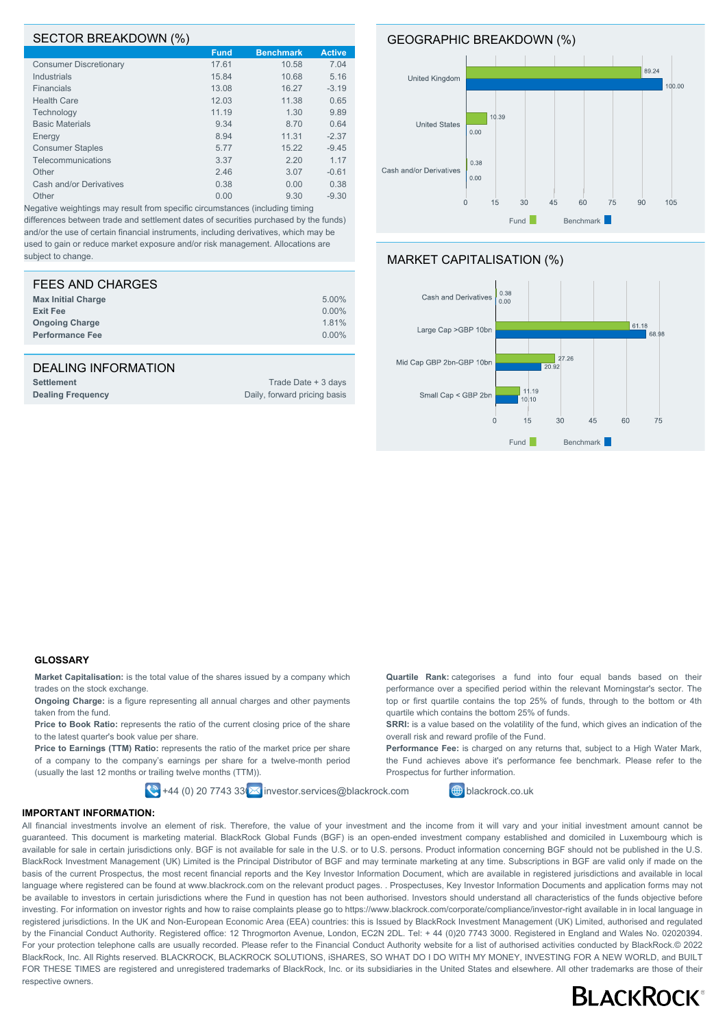#### SECTOR BREAKDOWN (%)

|                               | <b>Fund</b> | <b>Benchmark</b> | <b>Active</b> |
|-------------------------------|-------------|------------------|---------------|
| <b>Consumer Discretionary</b> | 17.61       | 10.58            | 7.04          |
| Industrials                   | 15.84       | 10.68            | 5.16          |
| <b>Financials</b>             | 13.08       | 16.27            | $-3.19$       |
| <b>Health Care</b>            | 12.03       | 11.38            | 0.65          |
| Technology                    | 11.19       | 1.30             | 9.89          |
| <b>Basic Materials</b>        | 9.34        | 8.70             | 0.64          |
| Energy                        | 8.94        | 11.31            | $-2.37$       |
| <b>Consumer Staples</b>       | 5.77        | 15.22            | $-9.45$       |
| Telecommunications            | 3.37        | 2.20             | 1.17          |
| Other                         | 2.46        | 3.07             | $-0.61$       |
| Cash and/or Derivatives       | 0.38        | 0.00             | 0.38          |
| Other                         | 0.00        | 9.30             | $-9.30$       |
|                               |             |                  |               |

Negative weightings may result from specific circumstances (including timing differences between trade and settlement dates of securities purchased by the funds) and/or the use of certain financial instruments, including derivatives, which may be used to gain or reduce market exposure and/or risk management. Allocations are subject to change.

| FEES AND CHARGES          |          |
|---------------------------|----------|
| <b>Max Initial Charge</b> | 5.00%    |
| <b>Exit Fee</b>           | $0.00\%$ |
| <b>Ongoing Charge</b>     | 1.81%    |
| <b>Performance Fee</b>    | $0.00\%$ |
|                           |          |

#### DEALING INFORMATION

| <b>Settlement</b>        | Trade Date + 3 days          |
|--------------------------|------------------------------|
| <b>Dealing Frequency</b> | Daily, forward pricing basis |



#### MARKET CAPITALISATION (%)



#### **GLOSSARY**

**Market Capitalisation:** is the total value of the shares issued by a company which trades on the stock exchange.

**Ongoing Charge:** is a figure representing all annual charges and other payments taken from the fund.

Price to Book Ratio: represents the ratio of the current closing price of the share to the latest quarter's book value per share.

**Price to Earnings (TTM) Ratio:** represents the ratio of the market price per share of a company to the company's earnings per share for a twelve-month period (usually the last 12 months or trailing twelve months (TTM)).

 $\bigotimes$  +44 (0) 20 7743 33 $\bigotimes$  investor.services@blackrock.com  $\bigoplus$  blackrock.co.uk

**Quartile Rank:** categorises a fund into four equal bands based on their performance over a specified period within the relevant Morningstar's sector. The top or first quartile contains the top 25% of funds, through to the bottom or 4th quartile which contains the bottom 25% of funds.

**SRRI:** is a value based on the volatility of the fund, which gives an indication of the overall risk and reward profile of the Fund.

**Performance Fee:** is charged on any returns that, subject to a High Water Mark, the Fund achieves above it's performance fee benchmark. Please refer to the Prospectus for further information.

#### **IMPORTANT INFORMATION:**

All financial investments involve an element of risk. Therefore, the value of your investment and the income from it will vary and your initial investment amount cannot be guaranteed. This document is marketing material. BlackRock Global Funds (BGF) is an open-ended investment company established and domiciled in Luxembourg which is available for sale in certain jurisdictions only. BGF is not available for sale in the U.S. or to U.S. persons. Product information concerning BGF should not be published in the U.S. BlackRock Investment Management (UK) Limited is the Principal Distributor of BGF and may terminate marketing at any time. Subscriptions in BGF are valid only if made on the basis of the current Prospectus, the most recent financial reports and the Key Investor Information Document, which are available in registered jurisdictions and available in local language where registered can be found at www.blackrock.com on the relevant product pages. . Prospectuses, Key Investor Information Documents and application forms may not be available to investors in certain jurisdictions where the Fund in question has not been authorised. Investors should understand all characteristics of the funds objective before investing. For information on investor rights and how to raise complaints please go to https://www.blackrock.com/corporate/compliance/investor-right available in in local language in registered jurisdictions. In the UK and Non-European Economic Area (EEA) countries: this is Issued by BlackRock Investment Management (UK) Limited, authorised and regulated by the Financial Conduct Authority. Registered office: 12 Throgmorton Avenue, London, EC2N 2DL. Tel: + 44 (0)20 7743 3000. Registered in England and Wales No. 02020394. For your protection telephone calls are usually recorded. Please refer to the Financial Conduct Authority website for a list of authorised activities conducted by BlackRock.© 2022 BlackRock, Inc. All Rights reserved. BLACKROCK, BLACKROCK SOLUTIONS, iSHARES, SO WHAT DO I DO WITH MY MONEY, INVESTING FOR A NEW WORLD, and BUILT FOR THESE TIMES are registered and unregistered trademarks of BlackRock, Inc. or its subsidiaries in the United States and elsewhere. All other trademarks are those of their respective owners.